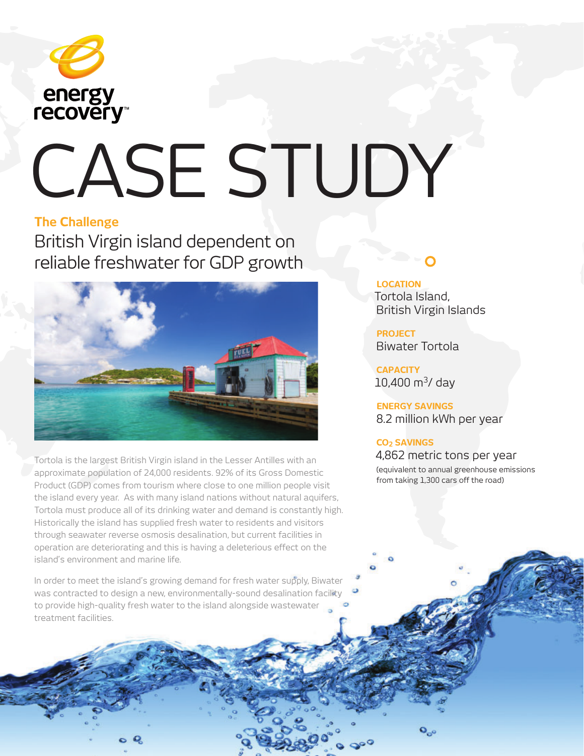

# CASE STUDY

#### **The Challenge**

British Virgin island dependent on reliable freshwater for GDP growth



Tortola is the largest British Virgin island in the Lesser Antilles with an approximate population of 24,000 residents. 92% of its Gross Domestic Product (GDP) comes from tourism where close to one million people visit the island every year. As with many island nations without natural aquifers, Tortola must produce all of its drinking water and demand is constantly high. Historically the island has supplied fresh water to residents and visitors through seawater reverse osmosis desalination, but current facilities in operation are deteriorating and this is having a deleterious effect on the island's environment and marine life.

In order to meet the island's growing demand for fresh water supply, Biwater was contracted to design a new, environmentally-sound desalination facility to provide high-quality fresh water to the island alongside wastewater treatment facilities.

### **LOCATION**

Tortola Island, British Virgin Islands

**PROJECT** Biwater Tortola

**CAPACITY**  $10,400$  m<sup>3</sup>/ day

**ENERGY SAVINGS**  8.2 million kWh per year

#### **CO2 SAVINGS**

4,862 metric tons per year (equivalent to annual greenhouse emissions from taking 1,300 cars off the road)